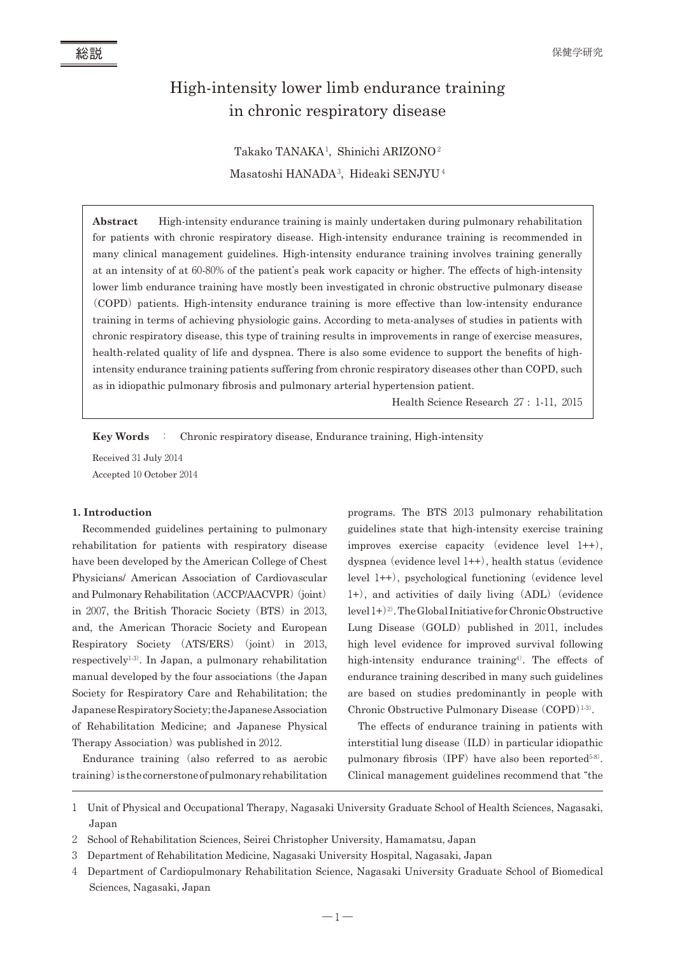# High-intensity lower limb endurance training in chronic respiratory disease

Takako TANAKA<sup>1</sup> , Shinichi ARIZONO<sup>2</sup> Masatoshi HANADA<sup>3</sup> , Hideaki SENJYU <sup>4</sup>

**Abstract** High-intensity endurance training is mainly undertaken during pulmonary rehabilitation for patients with chronic respiratory disease. High-intensity endurance training is recommended in many clinical management guidelines. High-intensity endurance training involves training generally at an intensity of at 60-80% of the patient's peak work capacity or higher. The effects of high-intensity lower limb endurance training have mostly been investigated in chronic obstructive pulmonary disease (COPD) patients. High-intensity endurance training is more effective than low-intensity endurance training in terms of achieving physiologic gains. According to meta-analyses of studies in patients with chronic respiratory disease, this type of training results in improvements in range of exercise measures, health-related quality of life and dyspnea. There is also some evidence to support the benefits of highintensity endurance training patients suffering from chronic respiratory diseases other than COPD, such as in idiopathic pulmonary fibrosis and pulmonary arterial hypertension patient.

Health Science Research 27 : 1-11, 2015

**Key Words** : Chronic respiratory disease, Endurance training, High-intensity

Received 31 July 2014 Accepted 10 October 2014

#### **1. Introduction**

Recommended guidelines pertaining to pulmonary rehabilitation for patients with respiratory disease have been developed by the American College of Chest Physicians/ American Association of Cardiovascular and Pulmonary Rehabilitation (ACCP/AACVPR) (joint) in 2007, the British Thoracic Society (BTS) in 2013, and, the American Thoracic Society and European Respiratory Society (ATS/ERS) (joint) in 2013, respectively<sup>1,3)</sup>. In Japan, a pulmonary rehabilitation manual developed by the four associations(the Japan Society for Respiratory Care and Rehabilitation; the JapaneseRespiratorySociety;theJapaneseAssociation of Rehabilitation Medicine; and Japanese Physical Therapy Association) was published in 2012.

Endurance training (also referred to as aerobic training) is the cornerstone of pulmonary rehabilitation

programs. The BTS 2013 pulmonary rehabilitation guidelines state that high-intensity exercise training improves exercise capacity (evidence level 1++), dyspnea (evidence level 1++), health status (evidence level  $1++$ ), psychological functioning (evidence level 1+), and activities of daily living(ADL)(evidence level  $1+$ )<sup>2)</sup>. The Global Initiative for Chronic Obstructive Lung Disease  $(GOLD)$  published in 2011, includes high level evidence for improved survival following high-intensity endurance training<sup>4)</sup>. The effects of endurance training described in many such guidelines are based on studies predominantly in people with Chronic Obstructive Pulmonary Disease (COPD)<sup>1-3)</sup>.

The effects of endurance training in patients with interstitial lung disease (ILD) in particular idiopathic pulmonary fibrosis (IPF) have also been reported $5-8$ ). Clinical management guidelines recommend that "the

<sup>1</sup> Unit of Physical and Occupational Therapy, Nagasaki University Graduate School of Health Sciences, Nagasaki, Japan

<sup>2</sup> School of Rehabilitation Sciences, Seirei Christopher University, Hamamatsu, Japan

<sup>3</sup> Department of Rehabilitation Medicine, Nagasaki University Hospital, Nagasaki, Japan

<sup>4</sup> Department of Cardiopulmonary Rehabilitation Science, Nagasaki University Graduate School of Biomedical Sciences, Nagasaki, Japan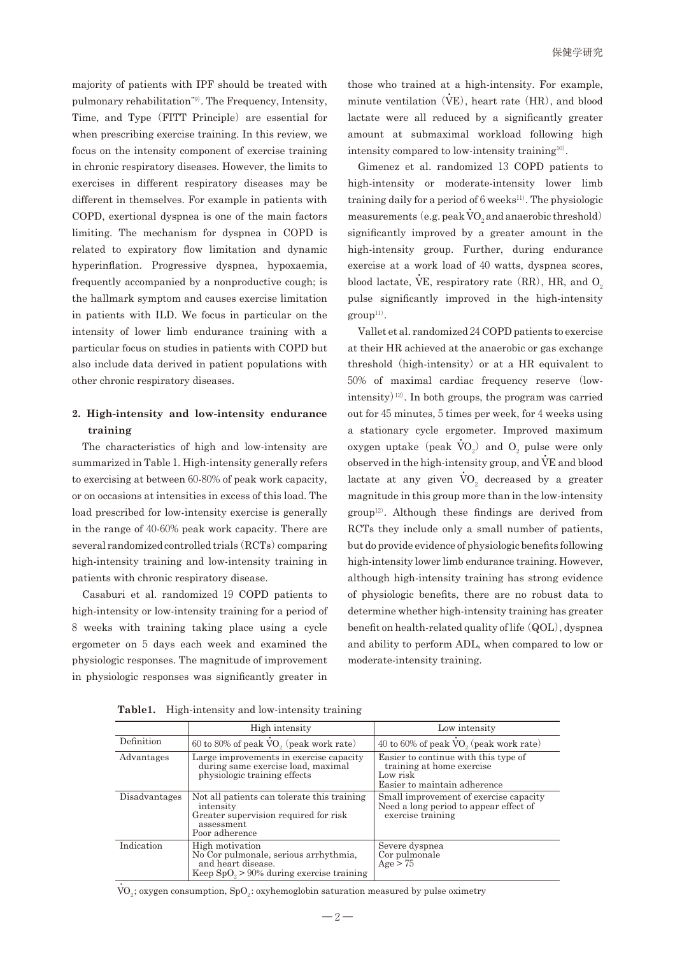majority of patients with IPF should be treated with pulmonary rehabilitation"<sup>9</sup>). The Frequency, Intensity, Time, and Type (FITT Principle) are essential for when prescribing exercise training. In this review, we focus on the intensity component of exercise training in chronic respiratory diseases. However, the limits to exercises in different respiratory diseases may be different in themselves. For example in patients with COPD, exertional dyspnea is one of the main factors limiting. The mechanism for dyspnea in COPD is related to expiratory flow limitation and dynamic hyperinflation. Progressive dyspnea, hypoxaemia, frequently accompanied by a nonproductive cough; is the hallmark symptom and causes exercise limitation in patients with ILD. We focus in particular on the intensity of lower limb endurance training with a particular focus on studies in patients with COPD but also include data derived in patient populations with other chronic respiratory diseases.

# **2. High-intensity and low-intensity endurance training**

The characteristics of high and low-intensity are summarized in Table 1. High-intensity generally refers to exercising at between 60-80%of peak work capacity, or on occasions at intensities in excess of this load. The load prescribed for low-intensity exercise is generally in the range of 40-60% peak work capacity. There are several randomized controlled trials (RCTs) comparing high-intensity training and low-intensity training in patients with chronic respiratory disease.

Casaburi et al. randomized 19 COPD patients to high-intensity or low-intensity training for a period of 8 weeks with training taking place using a cycle ergometer on 5 days each week and examined the physiologic responses. The magnitude of improvement in physiologic responses was significantly greater in

those who trained at a high-intensity. For example, minute ventilation  $(\dot{V}E)$ , heart rate  $(HR)$ , and blood lactate were all reduced by a significantly greater amount at submaximal workload following high intensity compared to low-intensity training<sup>10</sup>).

Gimenez et al. randomized 13 COPD patients to high-intensity or moderate-intensity lower limb training daily for a period of  $6$  weeks<sup>11)</sup>. The physiologic measurements (e.g. peak  $\dot{\text{VO}}_2$  and anaerobic threshold) significantly improved by a greater amount in the high-intensity group. Further, during endurance exercise at a work load of 40 watts, dyspnea scores, blood lactate,  $\dot{\text{VE}}$ , respiratory rate (RR), HR, and  $\text{O}_2$ pulse significantly improved in the high-intensity  $group<sup>11</sup>$ .

Vallet et al. randomized 24 COPD patients to exercise at their HR achieved at the anaerobic or gas exchange threshold (high-intensity) or at a HR equivalent to 50% of maximal cardiac frequency reserve (lowintensity)<sup>12)</sup>. In both groups, the program was carried out for 45 minutes, 5 times per week, for 4 weeks using a stationary cycle ergometer. Improved maximum oxygen uptake (peak  $\dot{V}O_2$ ) and  $O_2$  pulse were only observed in the high-intensity group, and VE and blood lactate at any given  $\dot{\text{VO}}_2$  decreased by a greater magnitude in this group more than in the low-intensity  $group<sup>12</sup>$ . Although these findings are derived from RCTs they include only a small number of patients, but do provide evidence of physiologic benefits following high-intensity lower limb endurance training. However, although high-intensity training has strong evidence of physiologic benefits, there are no robust data to determine whether high-intensity training has greater benefit on health-related quality of life (QOL), dyspnea and ability to perform ADL, when compared to low or moderate-intensity training.

|               | High intensity                                                                                                                    | Low intensity                                                                                                 |
|---------------|-----------------------------------------------------------------------------------------------------------------------------------|---------------------------------------------------------------------------------------------------------------|
| Definition    | 60 to 80% of peak $VO2$ (peak work rate)                                                                                          | 40 to 60% of peak VO <sub>2</sub> (peak work rate)                                                            |
| Advantages    | Large improvements in exercise capacity<br>during same exercise load, maximal<br>physiologic training effects                     | Easier to continue with this type of<br>training at home exercise<br>Low risk<br>Easier to maintain adherence |
| Disadvantages | Not all patients can tolerate this training<br>intensity<br>Greater supervision required for risk<br>assessment<br>Poor adherence | Small improvement of exercise capacity<br>Need a long period to appear effect of<br>exercise training         |
| Indication    | High motivation<br>No Cor pulmonale, serious arrhythmia.<br>and heart disease.<br>Keep $SpO_2$ > 90% during exercise training     | Severe dyspnea<br>Cor pulmonale<br>Age > 75                                                                   |

**Table1.** High-intensity and low-intensity training

 $\dot{\text{VO}}_2$ ; oxygen consumption, SpO<sub>2</sub>: oxyhemoglobin saturation measured by pulse oximetry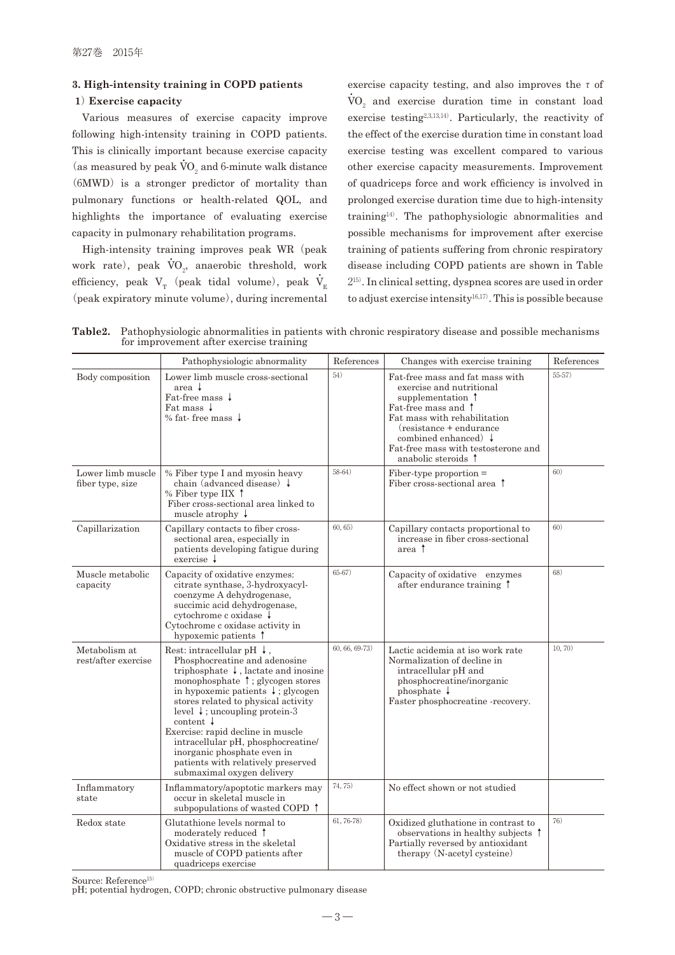# **3. High-intensity training in COPD patients**

#### **1**) **Exercise capacity**

Various measures of exercise capacity improve following high-intensity training in COPD patients. This is clinically important because exercise capacity (as measured by peak  $\rm \dot{VO}_2$  and 6-minute walk distance  $(6MWD)$  is a stronger predictor of mortality than pulmonary functions or health-related QOL, and highlights the importance of evaluating exercise capacity in pulmonary rehabilitation programs.

High-intensity training improves peak WR (peak work rate), peak  $\dot{V}O_2$ , anaerobic threshold, work efficiency, peak  $V_T$  (peak tidal volume), peak  $\dot{V}_E$ (peak expiratory minute volume), during incremental

exercise capacity testing, and also improves the  $\tau$  of  $\rm \dot{VO}_{2}$  and exercise duration time in constant load exercise testing<sup>2,3,13,14)</sup>. Particularly, the reactivity of the effect of the exercise duration time in constant load exercise testing was excellent compared to various other exercise capacity measurements. Improvement of quadriceps force and work efficiency is involved in prolonged exercise duration time due to high-intensity training<sup>14</sup>). The pathophysiologic abnormalities and possible mechanisms for improvement after exercise training of patients suffering from chronic respiratory disease including COPD patients are shown in Table 215). In clinical setting, dyspnea scores are used in order to adjust exercise intensity<sup>16,17)</sup>. This is possible because

**Table2.** Pathophysiologic abnormalities in patients with chronic respiratory disease and possible mechanisms for improvement after exercise training

|                                       | Pathophysiologic abnormality                                                                                                                                                                                                                                                                                                                                                                                                                                                                             | References     | Changes with exercise training                                                                                                                                                                                                                                      | References |
|---------------------------------------|----------------------------------------------------------------------------------------------------------------------------------------------------------------------------------------------------------------------------------------------------------------------------------------------------------------------------------------------------------------------------------------------------------------------------------------------------------------------------------------------------------|----------------|---------------------------------------------------------------------------------------------------------------------------------------------------------------------------------------------------------------------------------------------------------------------|------------|
| Body composition                      | Lower limb muscle cross-sectional<br>area $\downarrow$<br>Fat-free mass $\downarrow$<br>Fat mass $\downarrow$<br>% fat-free mass $\downarrow$                                                                                                                                                                                                                                                                                                                                                            | 54)            | Fat-free mass and fat mass with<br>exercise and nutritional<br>supplementation 1<br>Fat-free mass and 1<br>Fat mass with rehabilitation<br>(resistance + endurance)<br>combined enhanced $\downarrow$<br>Fat-free mass with testosterone and<br>anabolic steroids 1 | $55-57)$   |
| Lower limb muscle<br>fiber type, size | % Fiber type I and myosin heavy<br>chain (advanced disease) $\downarrow$<br>% Fiber type IIX $\uparrow$<br>Fiber cross-sectional area linked to<br>muscle atrophy $\downarrow$                                                                                                                                                                                                                                                                                                                           | $58-64)$       | $Fiber-type proportion =$<br>Fiber cross-sectional area 1                                                                                                                                                                                                           | 60)        |
| Capillarization                       | Capillary contacts to fiber cross-<br>sectional area, especially in<br>patients developing fatigue during<br>$exercise \downarrow$                                                                                                                                                                                                                                                                                                                                                                       | 60, 65)        | Capillary contacts proportional to<br>increase in fiber cross-sectional<br>area 1                                                                                                                                                                                   | 60)        |
| Muscle metabolic<br>capacity          | Capacity of oxidative enzymes:<br>citrate synthase, 3-hydroxyacyl-<br>coenzyme A dehydrogenase,<br>succimic acid dehydrogenase,<br>cytochrome c oxidase ↓<br>Cytochrome c oxidase activity in<br>hypoxemic patients $\uparrow$                                                                                                                                                                                                                                                                           | $65-67)$       | Capacity of oxidative enzymes<br>after endurance training 1                                                                                                                                                                                                         | 68)        |
| Metabolism at<br>rest/after exercise  | Rest: intracellular pH $\downarrow$ ,<br>Phosphocreatine and adenosine<br>triphosphate $\downarrow$ , lactate and inosine<br>monophosphate 1; glycogen stores<br>in hypoxemic patients $\downarrow$ ; glycogen<br>stores related to physical activity<br>level $\downarrow$ ; uncoupling protein-3<br>content $\downarrow$<br>Exercise: rapid decline in muscle<br>intracellular pH, phosphocreatine/<br>inorganic phosphate even in<br>patients with relatively preserved<br>submaximal oxygen delivery | 60, 66, 69-73) | Lactic acidemia at iso work rate<br>Normalization of decline in<br>intracellular pH and<br>phosphocreatine/inorganic<br>phosphate $\downarrow$<br>Faster phosphocreatine -recovery.                                                                                 | 10, 70)    |
| Inflammatory<br>state                 | Inflammatory/apoptotic markers may<br>occur in skeletal muscle in<br>subpopulations of wasted COPD 1                                                                                                                                                                                                                                                                                                                                                                                                     | 74, 75)        | No effect shown or not studied                                                                                                                                                                                                                                      |            |
| Redox state                           | Glutathione levels normal to<br>moderately reduced 1<br>Oxidative stress in the skeletal<br>muscle of COPD patients after<br>quadriceps exercise                                                                                                                                                                                                                                                                                                                                                         | $61, 76-78)$   | Oxidized gluthatione in contrast to<br>observations in healthy subjects 1<br>Partially reversed by antioxidant<br>therapy (N-acetyl cysteine)                                                                                                                       | 76)        |

Source: Reference<sup>15)</sup>

pH; potential hydrogen, COPD; chronic obstructive pulmonary disease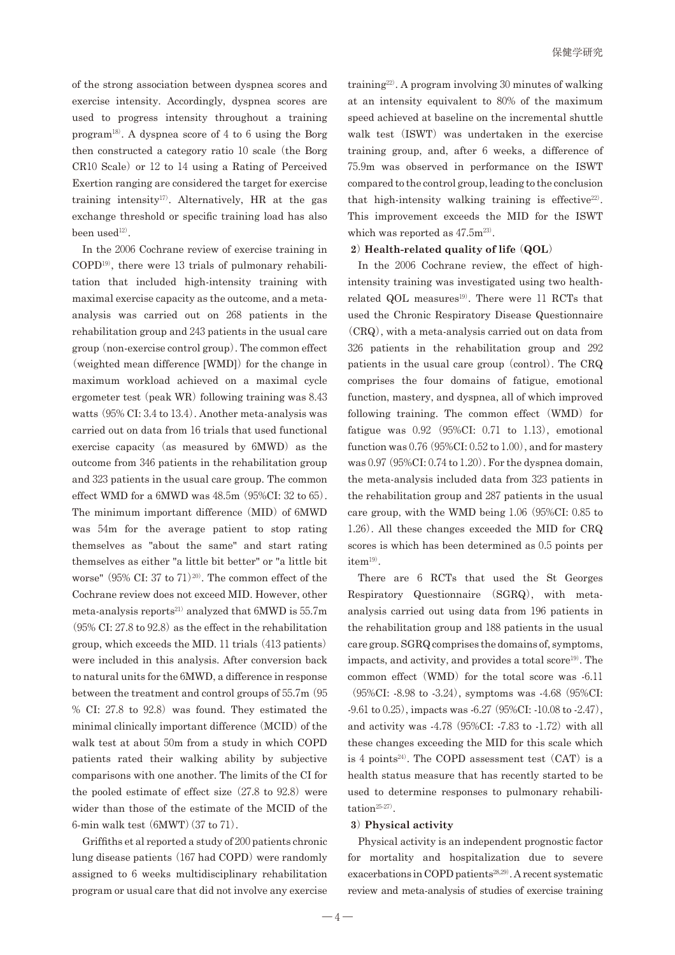of the strong association between dyspnea scores and exercise intensity. Accordingly, dyspnea scores are used to progress intensity throughout a training program<sup>18</sup>). A dyspnea score of 4 to 6 using the Borg then constructed a category ratio 10 scale(the Borg  $CR10$  Scale) or 12 to 14 using a Rating of Perceived Exertion ranging are considered the target for exercise training intensity<sup>17)</sup>. Alternatively, HR at the gas exchange threshold or specific training load has also been use $d^{12}$ .

In the 2006 Cochrane review of exercise training in COPD<sup>19</sup>), there were 13 trials of pulmonary rehabilitation that included high-intensity training with maximal exercise capacity as the outcome, and a metaanalysis was carried out on 268 patients in the rehabilitation group and 243 patients in the usual care group(non-exercise control group). The common effect (weighted mean difference  $[WMD]$ ) for the change in maximum workload achieved on a maximal cycle ergometer test (peak WR) following training was  $8.43$ watts (95% CI: 3.4 to 13.4). Another meta-analysis was carried out on data from 16 trials that used functional exercise capacity (as measured by  $6MWD$ ) as the outcome from 346 patients in the rehabilitation group and 323 patients in the usual care group. The common effect WMD for a  $6MWD$  was  $48.5m$   $(95\%CI: 32$  to  $65)$ . The minimum important difference (MID) of 6MWD was 54m for the average patient to stop rating themselves as "about the same" and start rating themselves as either "a little bit better" or "a little bit worse" (95% CI: 37 to 71)<sup>20)</sup>. The common effect of the Cochrane review does not exceed MID. However, other meta-analysis reports<sup>21)</sup> analyzed that 6MWD is  $55.7m$  $(95\% \text{ CI: } 27.8 \text{ to } 92.8)$  as the effect in the rehabilitation group, which exceeds the MID. 11 trials(413 patients) were included in this analysis. After conversion back to natural units for the 6MWD, a difference in response between the treatment and control groups of 55.7m (95)  $% CI: 27.8$  to  $92.8$ ) was found. They estimated the minimal clinically important difference (MCID) of the walk test at about 50m from a study in which COPD patients rated their walking ability by subjective comparisons with one another. The limits of the CI for the pooled estimate of effect size  $(27.8 \text{ to } 92.8)$  were wider than those of the estimate of the MCID of the 6-min walk test(6MWT)(37 to 71).

Griffiths et al reported a study of 200 patients chronic lung disease patients  $(167 \text{ had COPD})$  were randomly assigned to 6 weeks multidisciplinary rehabilitation program or usual care that did not involve any exercise

training<sup>22)</sup>. A program involving  $30$  minutes of walking at an intensity equivalent to 80% of the maximum speed achieved at baseline on the incremental shuttle walk test (ISWT) was undertaken in the exercise training group, and, after 6 weeks, a difference of 75.9m was observed in performance on the ISWT compared to the control group, leading to the conclusion that high-intensity walking training is effective<sup>22)</sup>. This improvement exceeds the MID for the ISWT which was reported as  $47.5$ m<sup>23)</sup>.

#### **2**) **Health-related quality of life** (**QOL**)

In the 2006 Cochrane review, the effect of highintensity training was investigated using two healthrelated QOL measures $^{19}$ . There were 11 RCTs that used the Chronic Respiratory Disease Questionnaire (CRQ), with a meta-analysis carried out on data from 326 patients in the rehabilitation group and 292 patients in the usual care group (control). The CRQ comprises the four domains of fatigue, emotional function, mastery, and dyspnea, all of which improved following training. The common effect (WMD) for fatigue was  $0.92$  (95%CI: 0.71 to 1.13), emotional function was  $0.76$  (95%CI:  $0.52$  to  $1.00$ ), and for mastery was 0.97 (95%CI: 0.74 to 1.20). For the dyspnea domain, the meta-analysis included data from 323 patients in the rehabilitation group and 287 patients in the usual care group, with the WMD being 1.06(95%CI: 0.85 to 1.26). All these changes exceeded the MID for CRQ scores is which has been determined as 0.5 points per  $\,$  item  $^{19)}$  .

There are 6 RCTs that used the St Georges Respiratory Questionnaire (SGRQ), with metaanalysis carried out using data from 196 patients in the rehabilitation group and 188 patients in the usual care group. SGRQ comprises the domains of, symptoms, impacts, and activity, and provides a total score $19$ . The common effect (WMD) for the total score was -6.11 (95%CI: -8.98 to -3.24), symptoms was -4.68(95%CI: -9.61 to 0.25), impacts was -6.27(95%CI: -10.08 to -2.47), and activity was  $-4.78$  (95%CI:  $-7.83$  to  $-1.72$ ) with all these changes exceeding the MID for this scale which is 4 points<sup>24)</sup>. The COPD assessment test (CAT) is a health status measure that has recently started to be used to determine responses to pulmonary rehabilitation<sup>25-27)</sup>.

### **3**) **Physical activity**

Physical activity is an independent prognostic factor for mortality and hospitalization due to severe exacerbations in COPD patients<sup>28,29)</sup>. A recent systematic review and meta-analysis of studies of exercise training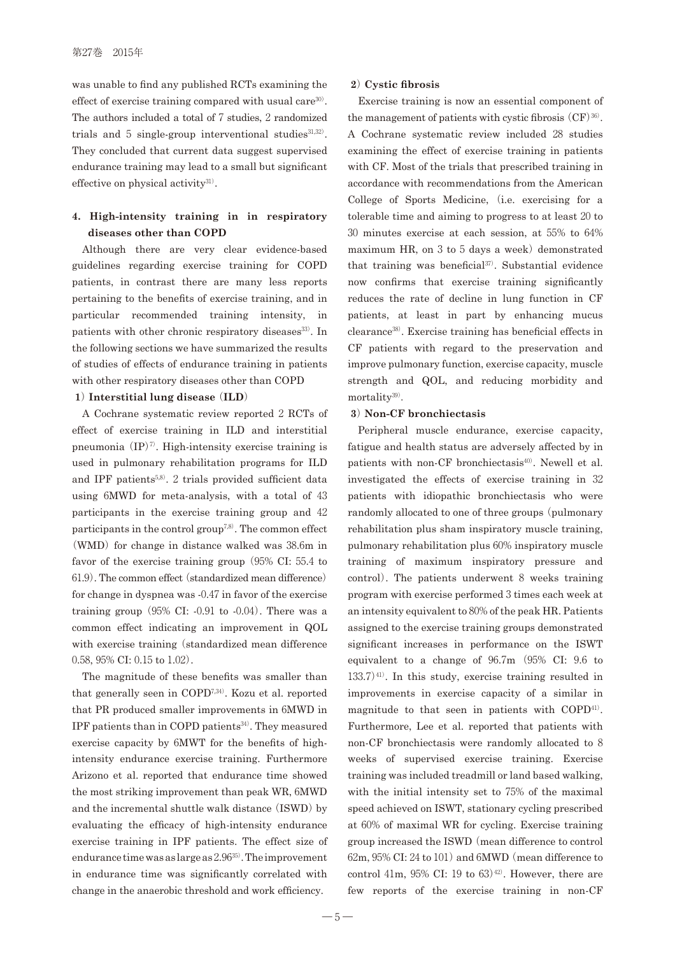#### 第27巻 2015年

was unable to find any published RCTs examining the effect of exercise training compared with usual care<sup>30)</sup>. The authors included a total of 7 studies, 2 randomized trials and  $5$  single-group interventional studies<sup>31,32)</sup>. They concluded that current data suggest supervised endurance training may lead to a small but significant effective on physical activity $31$ .

# **4. High-intensity training in in respiratory diseases other than COPD**

Although there are very clear evidence-based guidelines regarding exercise training for COPD patients, in contrast there are many less reports pertaining to the benefits of exercise training, and in particular recommended training intensity, in patients with other chronic respiratory diseases<sup>33)</sup>. In the following sections we have summarized the results of studies of effects of endurance training in patients with other respiratory diseases other than COPD

### **1**) **Interstitial lung disease** (**ILD**)

A Cochrane systematic review reported 2 RCTs of effect of exercise training in ILD and interstitial pneumonia  $(\text{IP})^7$ . High-intensity exercise training is used in pulmonary rehabilitation programs for ILD and IPF patients<sup>5,8)</sup>. 2 trials provided sufficient data using 6MWD for meta-analysis, with a total of 43 participants in the exercise training group and 42 participants in the control group<sup> $7,8$ </sup>. The common effect (WMD) for change in distance walked was  $38.6m$  in favor of the exercise training group (95% CI: 55.4 to 61.9). The common effect(standardized mean difference) for change in dyspnea was -0.47 in favor of the exercise training group  $(95\% \text{ CI: } -0.91 \text{ to } -0.04)$ . There was a common effect indicating an improvement in QOL with exercise training (standardized mean difference 0.58, 95% CI: 0.15 to 1.02).

The magnitude of these benefits was smaller than that generally seen in COPD7,34). Kozu et al. reported that PR produced smaller improvements in 6MWD in IPF patients than in COPD patients<sup>34)</sup>. They measured exercise capacity by 6MWT for the benefits of highintensity endurance exercise training. Furthermore Arizono et al. reported that endurance time showed the most striking improvement than peak WR, 6MWD and the incremental shuttle walk distance (ISWD) by evaluating the efficacy of high-intensity endurance exercise training in IPF patients. The effect size of endurance time was as large as  $2.96^{35}$ . The improvement in endurance time was significantly correlated with change in the anaerobic threshold and work efficiency.

#### **2**) **Cystic fibrosis**

Exercise training is now an essential component of the management of patients with cystic fibrosis  $(CF)^{36}$ . A Cochrane systematic review included 28 studies examining the effect of exercise training in patients with CF. Most of the trials that prescribed training in accordance with recommendations from the American College of Sports Medicine, (i.e. exercising for a tolerable time and aiming to progress to at least 20 to 30 minutes exercise at each session, at 55% to 64% maximum HR, on  $3$  to  $5$  days a week) demonstrated that training was beneficial <sup>37</sup>). Substantial evidence now confirms that exercise training significantly reduces the rate of decline in lung function in CF patients, at least in part by enhancing mucus clearance<sup>38</sup>). Exercise training has beneficial effects in CF patients with regard to the preservation and improve pulmonary function, exercise capacity, muscle strength and QOL, and reducing morbidity and mortality<sup>39)</sup>.

### **3**) **Non-CF bronchiectasis**

Peripheral muscle endurance, exercise capacity, fatigue and health status are adversely affected by in patients with non-CF bronchiectasis<sup>40)</sup>. Newell et al. investigated the effects of exercise training in 32 patients with idiopathic bronchiectasis who were randomly allocated to one of three groups (pulmonary rehabilitation plus sham inspiratory muscle training, pulmonary rehabilitation plus 60% inspiratory muscle training of maximum inspiratory pressure and control). The patients underwent 8 weeks training program with exercise performed 3 times each week at an intensity equivalent to 80%of the peak HR. Patients assigned to the exercise training groups demonstrated significant increases in performance on the ISWT equivalent to a change of 96.7m (95% CI: 9.6 to  $133.7)^{41}$ . In this study, exercise training resulted in improvements in exercise capacity of a similar in magnitude to that seen in patients with COPD<sup>41)</sup>. Furthermore, Lee et al. reported that patients with non-CF bronchiectasis were randomly allocated to 8 weeks of supervised exercise training. Exercise training was included treadmill or land based walking, with the initial intensity set to 75% of the maximal speed achieved on ISWT, stationary cycling prescribed at 60% of maximal WR for cycling. Exercise training group increased the ISWD(mean difference to control  $62m$ ,  $95\%$  CI:  $24$  to  $101)$  and  $6MWD$  (mean difference to control 41m, 95% CI: 19 to 63)<sup>42</sup>. However, there are few reports of the exercise training in non-CF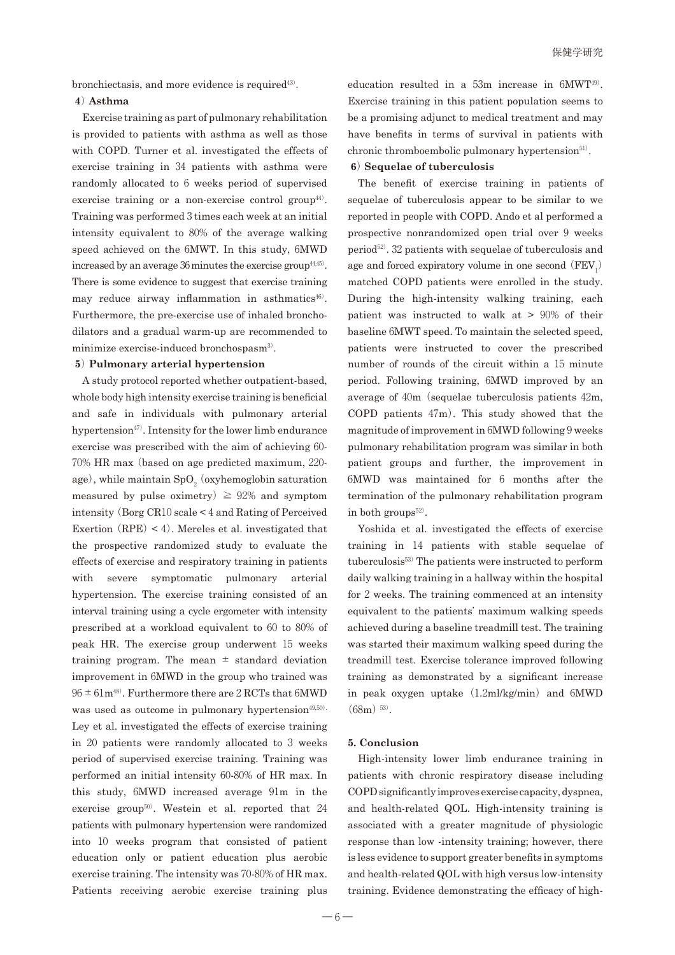bronchiectasis, and more evidence is required<sup>43)</sup>.

#### **4**) **Asthma**

Exercise training as part of pulmonary rehabilitation is provided to patients with asthma as well as those with COPD.Turner et al. investigated the effects of exercise training in 34 patients with asthma were randomly allocated to 6 weeks period of supervised exercise training or a non-exercise control group<sup> $44)$ </sup>. Training was performed 3 times each week at an initial intensity equivalent to 80% of the average walking speed achieved on the 6MWT. In this study, 6MWD increased by an average 36 minutes the exercise group<sup>44,45)</sup>. There is some evidence to suggest that exercise training may reduce airway inflammation in asthmatics $46$ ). Furthermore, the pre-exercise use of inhaled bronchodilators and a gradual warm-up are recommended to minimize exercise-induced bronchospasm<sup>3</sup>).

## **5**) **Pulmonary arterial hypertension**

A study protocol reported whether outpatient-based, whole body high intensity exercise training is beneficial and safe in individuals with pulmonary arterial hypertension<sup>47)</sup>. Intensity for the lower limb endurance exercise was prescribed with the aim of achieving 60- 70% HR max(based on age predicted maximum, 220 age), while maintain  $\mathrm{SpO}_2$  (oxyhemoglobin saturation measured by pulse oximetry)  $\geq 92\%$  and symptom intensity(Borg CR10 scale < 4 and Rating of Perceived Exertion  $(RPE) < 4$ . Mereles et al. investigated that the prospective randomized study to evaluate the effects of exercise and respiratory training in patients with severe symptomatic pulmonary arterial hypertension. The exercise training consisted of an interval training using a cycle ergometer with intensity prescribed at a workload equivalent to 60 to 80% of peak HR. The exercise group underwent 15 weeks training program. The mean  $\pm$  standard deviation improvement in 6MWD in the group who trained was  $96 \pm 61$  m<sup>48</sup>. Furthermore there are 2 RCTs that 6MWD was used as outcome in pulmonary hypertension<sup>49,50)</sup>. Ley et al. investigated the effects of exercise training in 20 patients were randomly allocated to 3 weeks period of supervised exercise training. Training was performed an initial intensity 60-80% of HR max. In this study, 6MWD increased average 91m in the exercise group<sup>50)</sup>. Westein et al. reported that  $24$ patients with pulmonary hypertension were randomized into 10 weeks program that consisted of patient education only or patient education plus aerobic exercise training. The intensity was 70-80%of HR max. Patients receiving aerobic exercise training plus

education resulted in a 53m increase in 6MWT<sup>49</sup>). Exercise training in this patient population seems to be a promising adjunct to medical treatment and may have benefits in terms of survival in patients with chronic thromboembolic pulmonary hypertension $51$ .

# **6**) **Sequelae of tuberculosis**

The benefit of exercise training in patients of sequelae of tuberculosis appear to be similar to we reported in people with COPD. Ando et al performed a prospective nonrandomized open trial over 9 weeks period<sup>52</sup>). 32 patients with sequelae of tuberculosis and age and forced expiratory volume in one second  $(FEV<sub>1</sub>)$ matched COPD patients were enrolled in the study. During the high-intensity walking training, each patient was instructed to walk at > 90% of their baseline 6MWT speed. To maintain the selected speed, patients were instructed to cover the prescribed number of rounds of the circuit within a 15 minute period. Following training, 6MWD improved by an average of  $40m$  (sequelae tuberculosis patients  $42m$ , COPD patients 47m). This study showed that the magnitude of improvement in 6MWD following 9 weeks pulmonary rehabilitation program was similar in both patient groups and further, the improvement in 6MWD was maintained for 6 months after the termination of the pulmonary rehabilitation program in both groups $52$ .

Yoshida et al. investigated the effects of exercise training in 14 patients with stable sequelae of tuberculosis<sup>53)</sup> The patients were instructed to perform daily walking training in a hallway within the hospital for 2 weeks. The training commenced at an intensity equivalent to the patients' maximum walking speeds achieved during a baseline treadmill test. The training was started their maximum walking speed during the treadmill test. Exercise tolerance improved following training as demonstrated by a significant increase in peak oxygen uptake  $(1.2 \text{ml/kg/min})$  and 6MWD  $(68m)$ <sup>53)</sup>.

#### **5. Conclusion**

High-intensity lower limb endurance training in patients with chronic respiratory disease including COPD significantly improves exercise capacity, dyspnea, and health-related QOL. High-intensity training is associated with a greater magnitude of physiologic response than low -intensity training; however, there is less evidence to support greater benefits in symptoms and health-related QOL with high versus low-intensity training. Evidence demonstrating the efficacy of high-

 $-6 -$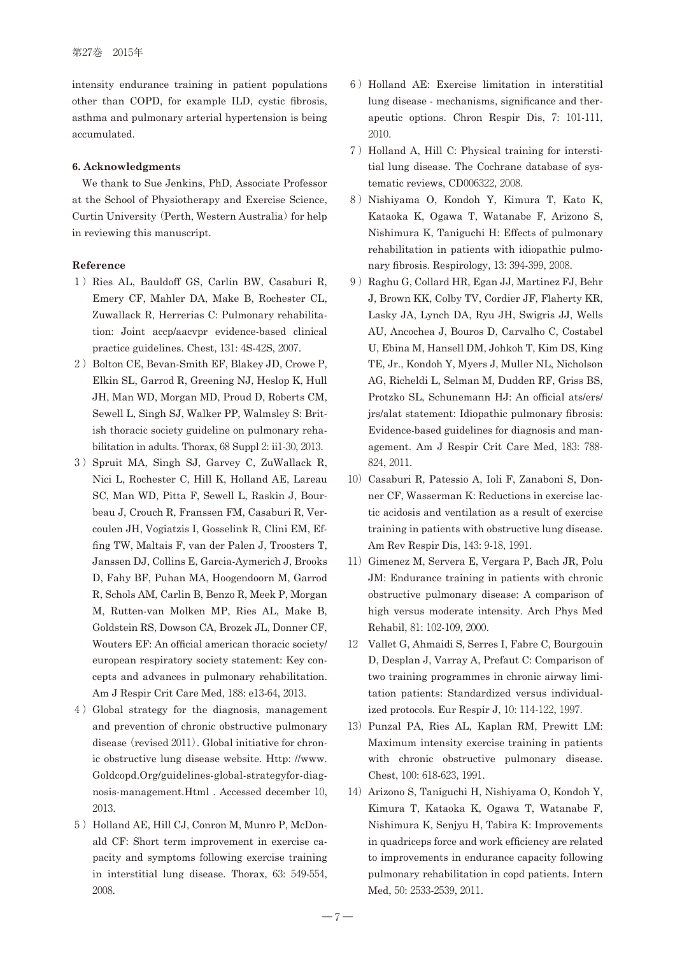intensity endurance training in patient populations other than COPD, for example ILD, cystic fibrosis, asthma and pulmonary arterial hypertension is being accumulated.

# **6. Acknowledgments**

We thank to Sue Jenkins, PhD, Associate Professor at the School of Physiotherapy and Exercise Science, Curtin University (Perth, Western Australia) for help in reviewing this manuscript.

#### **Reference**

- 1) Ries AL, Bauldoff GS, Carlin BW, Casaburi R, Emery CF, Mahler DA, Make B, Rochester CL, Zuwallack R, Herrerias C: Pulmonary rehabilitation: Joint accp/aacvpr evidence-based clinical practice guidelines. Chest, 131: 4S-42S, 2007.
- 2) Bolton CE, Bevan-Smith EF, Blakey JD, Crowe P, Elkin SL, Garrod R, Greening NJ, Heslop K, Hull JH, Man WD, Morgan MD, Proud D, Roberts CM, Sewell L, Singh SJ, Walker PP, Walmsley S: British thoracic society guideline on pulmonary rehabilitation in adults. Thorax, 68 Suppl 2: ii1-30, 2013.
- 3) Spruit MA, Singh SJ, Garvey C, ZuWallack R, Nici L, Rochester C, Hill K, Holland AE, Lareau SC, Man WD, Pitta F, Sewell L, Raskin J, Bourbeau J, Crouch R, Franssen FM, Casaburi R, Vercoulen JH, Vogiatzis I, Gosselink R, Clini EM, Effing TW, Maltais F, van der Palen J, Troosters T, Janssen DJ, Collins E, Garcia-Aymerich J, Brooks D, Fahy BF, Puhan MA, Hoogendoorn M, Garrod R, Schols AM, Carlin B, Benzo R, Meek P, Morgan M, Rutten-van Molken MP, Ries AL, Make B, Goldstein RS, Dowson CA, Brozek JL, Donner CF, Wouters EF: An official american thoracic society/ european respiratory society statement: Key concepts and advances in pulmonary rehabilitation. Am J Respir Crit Care Med, 188: e13-64, 2013.
- 4 )Global strategy for the diagnosis, management and prevention of chronic obstructive pulmonary disease (revised 2011). Global initiative for chronic obstructive lung disease website. Http: //www. Goldcopd.Org/guidelines-global-strategyfor-diagnosis-management.Html . Accessed december 10, 2013.
- 5) Holland AE, Hill CJ, Conron M, Munro P, McDonald CF: Short term improvement in exercise capacity and symptoms following exercise training in interstitial lung disease. Thorax, 63: 549-554, 2008.
- 6 )Holland AE: Exercise limitation in interstitial lung disease - mechanisms, significance and therapeutic options. Chron Respir Dis, 7: 101-111, 2010.
- 7) Holland A, Hill C: Physical training for interstitial lung disease. The Cochrane database of systematic reviews, CD006322, 2008.
- 8) Nishiyama O, Kondoh Y, Kimura T, Kato K, Kataoka K, Ogawa T, Watanabe F, Arizono S, Nishimura K, Taniguchi H: Effects of pulmonary rehabilitation in patients with idiopathic pulmonary fibrosis. Respirology, 13: 394-399, 2008.
- 9) Raghu G, Collard HR, Egan JJ, Martinez FJ, Behr J, Brown KK, Colby TV, Cordier JF, Flaherty KR, Lasky JA, Lynch DA, Ryu JH, Swigris JJ, Wells AU, Ancochea J, Bouros D, Carvalho C, Costabel U, Ebina M, Hansell DM, Johkoh T, Kim DS, King TE, Jr., Kondoh Y, Myers J, Muller NL, Nicholson AG, Richeldi L, Selman M, Dudden RF, Griss BS, Protzko SL, Schunemann HJ: An official ats/ers/ jrs/alat statement: Idiopathic pulmonary fibrosis: Evidence-based guidelines for diagnosis and management. Am J Respir Crit Care Med, 183: 788- 824, 2011.
- 10) Casaburi R, Patessio A, Ioli F, Zanaboni S, Donner CF, Wasserman K: Reductions in exercise lactic acidosis and ventilation as a result of exercise training in patients with obstructive lung disease. Am Rev Respir Dis, 143: 9-18, 1991.
- 11) Gimenez M, Servera E, Vergara P, Bach JR, Polu JM: Endurance training in patients with chronic obstructive pulmonary disease: A comparison of high versus moderate intensity. Arch Phys Med Rehabil, 81: 102-109, 2000.
- 12 Vallet G, Ahmaidi S, Serres I, Fabre C, Bourgouin D, Desplan J, Varray A, Prefaut C: Comparison of two training programmes in chronic airway limitation patients: Standardized versus individualized protocols. Eur Respir J, 10: 114-122, 1997.
- 13) Punzal PA, Ries AL, Kaplan RM, Prewitt LM: Maximum intensity exercise training in patients with chronic obstructive pulmonary disease. Chest, 100: 618-623, 1991.
- 14) Arizono S, Taniguchi H, Nishiyama O, Kondoh Y, Kimura T, Kataoka K, Ogawa T, Watanabe F, Nishimura K, Senjyu H, Tabira K: Improvements in quadriceps force and work efficiency are related to improvements in endurance capacity following pulmonary rehabilitation in copd patients. Intern Med, 50: 2533-2539, 2011.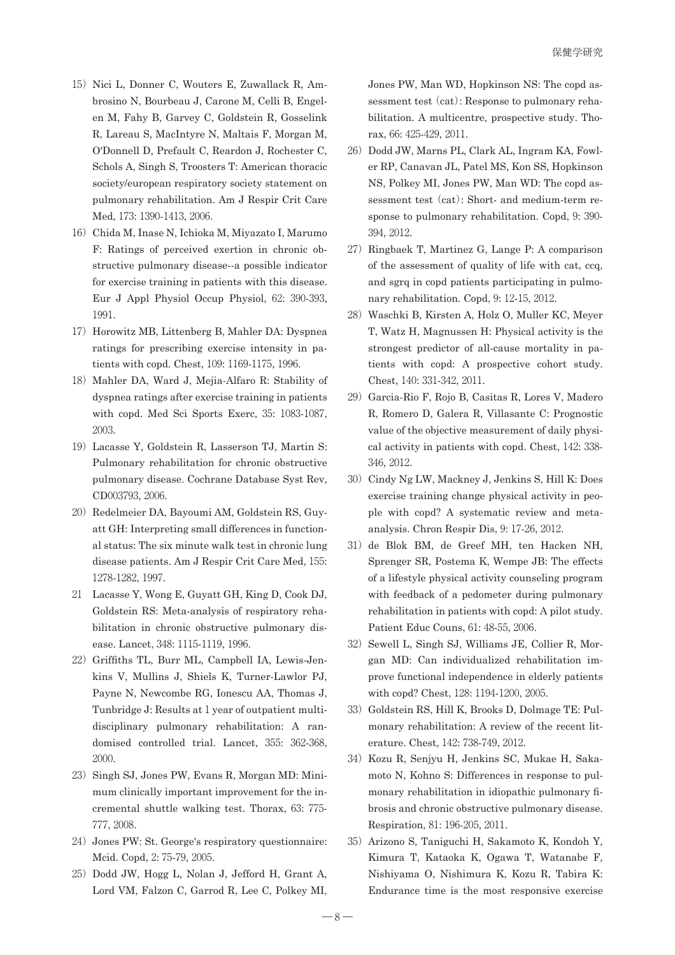- 15) Nici L, Donner C, Wouters E, Zuwallack R, Ambrosino N, Bourbeau J, Carone M, Celli B, Engelen M, Fahy B, Garvey C, Goldstein R, Gosselink R, Lareau S, MacIntyre N, Maltais F, Morgan M, O'Donnell D, Prefault C, Reardon J, Rochester C, Schols A, Singh S, Troosters T: American thoracic society/european respiratory society statement on pulmonary rehabilitation. Am J Respir Crit Care Med, 173: 1390-1413, 2006.
- 16) Chida M, Inase N, Ichioka M, Miyazato I, Marumo F: Ratings of perceived exertion in chronic obstructive pulmonary disease--a possible indicator for exercise training in patients with this disease. Eur J Appl Physiol Occup Physiol, 62: 390-393, 1991.
- 17) Horowitz MB, Littenberg B, Mahler DA: Dyspnea ratings for prescribing exercise intensity in patients with copd. Chest, 109: 1169-1175, 1996.
- 18) Mahler DA, Ward J, Mejia-Alfaro R: Stability of dyspnea ratings after exercise training in patients with copd. Med Sci Sports Exerc, 35: 1083-1087, 2003.
- 19)Lacasse Y, Goldstein R, Lasserson TJ, Martin S: Pulmonary rehabilitation for chronic obstructive pulmonary disease. Cochrane Database Syst Rev, CD003793, 2006.
- 20) Redelmeier DA, Bayoumi AM, Goldstein RS, Guyatt GH: Interpreting small differences in functional status: The six minute walk test in chronic lung disease patients. Am J Respir Crit Care Med, 155: 1278-1282, 1997.
- 21 Lacasse Y, Wong E, Guyatt GH, King D, Cook DJ, Goldstein RS: Meta-analysis of respiratory rehabilitation in chronic obstructive pulmonary disease. Lancet, 348: 1115-1119, 1996.
- 22) Griffiths TL, Burr ML, Campbell IA, Lewis-Jenkins V, Mullins J, Shiels K, Turner-Lawlor PJ, Payne N, Newcombe RG, Ionescu AA, Thomas J, Tunbridge J: Results at 1 year of outpatient multidisciplinary pulmonary rehabilitation: A randomised controlled trial. Lancet, 355: 362-368, 2000.
- 23) Singh SJ, Jones PW, Evans R, Morgan MD: Minimum clinically important improvement for the incremental shuttle walking test. Thorax, 63: 775- 777, 2008.
- 24) Jones PW: St. George's respiratory questionnaire: Mcid. Copd, 2: 75-79, 2005.
- 25) Dodd JW, Hogg L, Nolan J, Jefford H, Grant A, Lord VM, Falzon C, Garrod R, Lee C, Polkey MI,

Jones PW, Man WD, Hopkinson NS: The copd assessment test (cat): Response to pulmonary rehabilitation. A multicentre, prospective study. Thorax, 66: 425-429, 2011.

- 26) Dodd JW, Marns PL, Clark AL, Ingram KA, Fowler RP, Canavan JL, Patel MS, Kon SS, Hopkinson NS, Polkey MI, Jones PW, Man WD: The copd assessment test (cat): Short- and medium-term response to pulmonary rehabilitation. Copd, 9: 390- 394, 2012.
- 27)Ringbaek T, Martinez G, Lange P: A comparison of the assessment of quality of life with cat, ccq, and sgrq in copd patients participating in pulmonary rehabilitation. Copd, 9: 12-15, 2012.
- 28) Waschki B, Kirsten A, Holz O, Muller KC, Meyer T, Watz H, Magnussen H: Physical activity is the strongest predictor of all-cause mortality in patients with copd: A prospective cohort study. Chest, 140: 331-342, 2011.
- 29) Garcia-Rio F, Rojo B, Casitas R, Lores V, Madero R, Romero D, Galera R, Villasante C: Prognostic value of the objective measurement of daily physical activity in patients with copd. Chest, 142: 338- 346, 2012.
- 30) Cindy Ng LW, Mackney J, Jenkins S, Hill K: Does exercise training change physical activity in people with copd? A systematic review and metaanalysis. Chron Respir Dis, 9: 17-26, 2012.
- 31) de Blok BM, de Greef MH, ten Hacken NH, Sprenger SR, Postema K, Wempe JB: The effects of a lifestyle physical activity counseling program with feedback of a pedometer during pulmonary rehabilitation in patients with copd: A pilot study. Patient Educ Couns, 61: 48-55, 2006.
- 32) Sewell L, Singh SJ, Williams JE, Collier R, Morgan MD: Can individualized rehabilitation improve functional independence in elderly patients with copd? Chest, 128: 1194-1200, 2005.
- 33) Goldstein RS, Hill K, Brooks D, Dolmage TE: Pulmonary rehabilitation: A review of the recent literature. Chest, 142: 738-749, 2012.
- 34) Kozu R, Senjyu H, Jenkins SC, Mukae H, Sakamoto N, Kohno S: Differences in response to pulmonary rehabilitation in idiopathic pulmonary fibrosis and chronic obstructive pulmonary disease. Respiration, 81: 196-205, 2011.
- 35)Arizono S, Taniguchi H, Sakamoto K, Kondoh Y, Kimura T, Kataoka K, Ogawa T, Watanabe F, Nishiyama O, Nishimura K, Kozu R, Tabira K: Endurance time is the most responsive exercise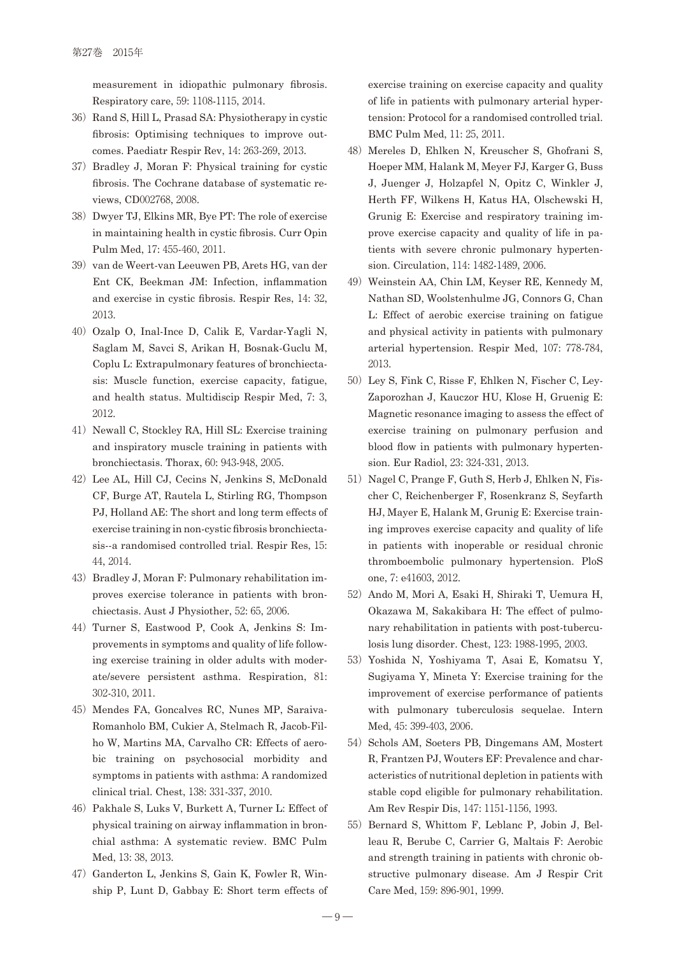measurement in idiopathic pulmonary fibrosis. Respiratory care, 59: 1108-1115, 2014.

- 36) Rand S, Hill L, Prasad SA: Physiotherapy in cystic fibrosis: Optimising techniques to improve outcomes. Paediatr Respir Rev, 14: 263-269, 2013.
- 37) Bradley J, Moran F: Physical training for cystic fibrosis. The Cochrane database of systematic reviews, CD002768, 2008.
- 38)Dwyer TJ, Elkins MR, Bye PT: The role of exercise in maintaining health in cystic fibrosis. Curr Opin Pulm Med, 17: 455-460, 2011.
- 39) van de Weert-van Leeuwen PB, Arets HG, van der Ent CK, Beekman JM: Infection, inflammation and exercise in cystic fibrosis. Respir Res, 14: 32, 2013.
- 40) Ozalp O, Inal-Ince D, Calik E, Vardar-Yagli N, Saglam M, Savci S, Arikan H, Bosnak-Guclu M, Coplu L: Extrapulmonary features of bronchiectasis: Muscle function, exercise capacity, fatigue, and health status. Multidiscip Respir Med, 7: 3, 2012.
- 41) Newall C, Stockley RA, Hill SL: Exercise training and inspiratory muscle training in patients with bronchiectasis. Thorax, 60: 943-948, 2005.
- 42) Lee AL, Hill CJ, Cecins N, Jenkins S, McDonald CF, Burge AT, Rautela L, Stirling RG, Thompson PJ, Holland AE: The short and long term effects of exercise training in non-cystic fibrosis bronchiectasis--a randomised controlled trial. Respir Res, 15: 44, 2014.
- 43) Bradley J, Moran F: Pulmonary rehabilitation improves exercise tolerance in patients with bronchiectasis. Aust J Physiother, 52: 65, 2006.
- 44)Turner S, Eastwood P, Cook A, Jenkins S: Improvements in symptoms and quality of life following exercise training in older adults with moderate/severe persistent asthma. Respiration, 81: 302-310, 2011.
- 45) Mendes FA, Goncalves RC, Nunes MP, Saraiva-Romanholo BM, Cukier A, Stelmach R, Jacob-Filho W, Martins MA, Carvalho CR: Effects of aerobic training on psychosocial morbidity and symptoms in patients with asthma: A randomized clinical trial. Chest, 138: 331-337, 2010.
- 46) Pakhale S, Luks V, Burkett A, Turner L: Effect of physical training on airway inflammation in bronchial asthma: A systematic review. BMC Pulm Med, 13: 38, 2013.
- 47) Ganderton L, Jenkins S, Gain K, Fowler R, Winship P, Lunt D, Gabbay E: Short term effects of

exercise training on exercise capacity and quality of life in patients with pulmonary arterial hypertension: Protocol for a randomised controlled trial. BMC Pulm Med, 11: 25, 2011.

- 48) Mereles D, Ehlken N, Kreuscher S, Ghofrani S, Hoeper MM, Halank M, Meyer FJ, Karger G, Buss J, Juenger J, Holzapfel N, Opitz C, Winkler J, Herth FF, Wilkens H, Katus HA, Olschewski H, Grunig E: Exercise and respiratory training improve exercise capacity and quality of life in patients with severe chronic pulmonary hypertension. Circulation, 114: 1482-1489, 2006.
- 49) Weinstein AA, Chin LM, Keyser RE, Kennedy M, Nathan SD, Woolstenhulme JG, Connors G, Chan L: Effect of aerobic exercise training on fatigue and physical activity in patients with pulmonary arterial hypertension. Respir Med, 107: 778-784, 2013.
- 50) Ley S, Fink C, Risse F, Ehlken N, Fischer C, Ley-Zaporozhan J, Kauczor HU, Klose H, Gruenig E: Magnetic resonance imaging to assess the effect of exercise training on pulmonary perfusion and blood flow in patients with pulmonary hypertension. Eur Radiol, 23: 324-331, 2013.
- 51) Nagel C, Prange F, Guth S, Herb J, Ehlken N, Fischer C, Reichenberger F, Rosenkranz S, Seyfarth HJ, Mayer E, Halank M, Grunig E: Exercise training improves exercise capacity and quality of life in patients with inoperable or residual chronic thromboembolic pulmonary hypertension. PloS one, 7: e41603, 2012.
- 52) Ando M, Mori A, Esaki H, Shiraki T, Uemura H, Okazawa M, Sakakibara H: The effect of pulmonary rehabilitation in patients with post-tuberculosis lung disorder. Chest, 123: 1988-1995, 2003.
- 53) Yoshida N, Yoshiyama T, Asai E, Komatsu Y, Sugiyama Y, Mineta Y: Exercise training for the improvement of exercise performance of patients with pulmonary tuberculosis sequelae. Intern Med, 45: 399-403, 2006.
- 54) Schols AM, Soeters PB, Dingemans AM, Mostert R, Frantzen PJ, Wouters EF: Prevalence and characteristics of nutritional depletion in patients with stable copd eligible for pulmonary rehabilitation. Am Rev Respir Dis, 147: 1151-1156, 1993.
- 55) Bernard S, Whittom F, Leblanc P, Jobin J, Belleau R, Berube C, Carrier G, Maltais F: Aerobic and strength training in patients with chronic obstructive pulmonary disease. Am J Respir Crit Care Med, 159: 896-901, 1999.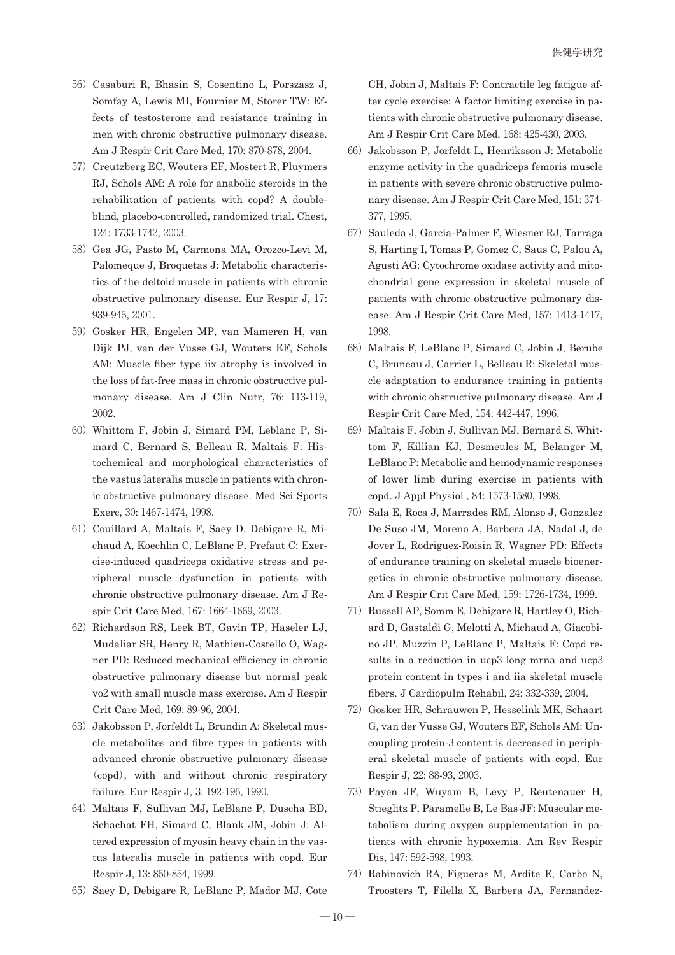- 56) Casaburi R, Bhasin S, Cosentino L, Porszasz J, Somfay A, Lewis MI, Fournier M, Storer TW: Effects of testosterone and resistance training in men with chronic obstructive pulmonary disease. Am J Respir Crit Care Med, 170: 870-878, 2004.
- 57) Creutzberg EC, Wouters EF, Mostert R, Pluymers RJ, Schols AM: A role for anabolic steroids in the rehabilitation of patients with copd? A doubleblind, placebo-controlled, randomized trial. Chest, 124: 1733-1742, 2003.
- 58) Gea JG, Pasto M, Carmona MA, Orozco-Levi M, Palomeque J, Broquetas J: Metabolic characteristics of the deltoid muscle in patients with chronic obstructive pulmonary disease. Eur Respir J, 17: 939-945, 2001.
- 59) Gosker HR, Engelen MP, van Mameren H, van Dijk PJ, van der Vusse GJ, Wouters EF, Schols AM: Muscle fiber type iix atrophy is involved in the loss of fat-free mass in chronic obstructive pulmonary disease. Am J Clin Nutr, 76: 113-119, 2002.
- 60)Whittom F, Jobin J, Simard PM, Leblanc P, Simard C, Bernard S, Belleau R, Maltais F: Histochemical and morphological characteristics of the vastus lateralis muscle in patients with chronic obstructive pulmonary disease. Med Sci Sports Exerc, 30: 1467-1474, 1998.
- 61) Couillard A, Maltais F, Saey D, Debigare R, Michaud A, Koechlin C, LeBlanc P, Prefaut C: Exercise-induced quadriceps oxidative stress and peripheral muscle dysfunction in patients with chronic obstructive pulmonary disease. Am J Respir Crit Care Med, 167: 1664-1669, 2003.
- 62) Richardson RS, Leek BT, Gavin TP, Haseler LJ, Mudaliar SR, Henry R, Mathieu-Costello O, Wagner PD: Reduced mechanical efficiency in chronic obstructive pulmonary disease but normal peak vo2 with small muscle mass exercise. Am J Respir Crit Care Med, 169: 89-96, 2004.
- 63) Jakobsson P, Jorfeldt L, Brundin A: Skeletal muscle metabolites and fibre types in patients with advanced chronic obstructive pulmonary disease (copd), with and without chronic respiratory failure. Eur Respir J, 3: 192-196, 1990.
- 64) Maltais F, Sullivan MJ, LeBlanc P, Duscha BD, Schachat FH, Simard C, Blank JM, Jobin J: Altered expression of myosin heavy chain in the vastus lateralis muscle in patients with copd. Eur Respir J, 13: 850-854, 1999.
- 65) Saey D, Debigare R, LeBlanc P, Mador MJ, Cote

CH, Jobin J, Maltais F: Contractile leg fatigue after cycle exercise: A factor limiting exercise in patients with chronic obstructive pulmonary disease. Am J Respir Crit Care Med, 168: 425-430, 2003.

- 66) Jakobsson P, Jorfeldt L, Henriksson J: Metabolic enzyme activity in the quadriceps femoris muscle in patients with severe chronic obstructive pulmonary disease. Am J Respir Crit Care Med, 151: 374- 377, 1995.
- 67) Sauleda J, Garcia-Palmer F, Wiesner RJ, Tarraga S, Harting I, Tomas P, Gomez C, Saus C, Palou A, Agusti AG: Cytochrome oxidase activity and mitochondrial gene expression in skeletal muscle of patients with chronic obstructive pulmonary disease. Am J Respir Crit Care Med, 157: 1413-1417, 1998.
- 68) Maltais F, LeBlanc P, Simard C, Jobin J, Berube C, Bruneau J, Carrier L, Belleau R: Skeletal muscle adaptation to endurance training in patients with chronic obstructive pulmonary disease. Am J Respir Crit Care Med, 154: 442-447, 1996.
- 69) Maltais F, Jobin J, Sullivan MJ, Bernard S, Whittom F, Killian KJ, Desmeules M, Belanger M, LeBlanc P: Metabolic and hemodynamic responses of lower limb during exercise in patients with copd. J Appl Physiol , 84: 1573-1580, 1998.
- 70) Sala E, Roca J, Marrades RM, Alonso J, Gonzalez De Suso JM, Moreno A, Barbera JA, Nadal J, de Jover L, Rodriguez-Roisin R, Wagner PD: Effects of endurance training on skeletal muscle bioenergetics in chronic obstructive pulmonary disease. Am J Respir Crit Care Med, 159: 1726-1734, 1999.
- 71) Russell AP, Somm E, Debigare R, Hartley O, Richard D, Gastaldi G, Melotti A, Michaud A, Giacobino JP, Muzzin P, LeBlanc P, Maltais F: Copd results in a reduction in ucp3 long mrna and ucp3 protein content in types i and iia skeletal muscle fibers. J Cardiopulm Rehabil, 24: 332-339, 2004.
- 72)Gosker HR, Schrauwen P, Hesselink MK, Schaart G, van der Vusse GJ, Wouters EF, Schols AM: Uncoupling protein-3 content is decreased in peripheral skeletal muscle of patients with copd. Eur Respir J, 22: 88-93, 2003.
- 73) Payen JF, Wuyam B, Levy P, Reutenauer H, Stieglitz P, Paramelle B, Le Bas JF: Muscular metabolism during oxygen supplementation in patients with chronic hypoxemia. Am Rev Respir Dis, 147: 592-598, 1993.
- 74) Rabinovich RA, Figueras M, Ardite E, Carbo N, Troosters T, Filella X, Barbera JA, Fernandez-